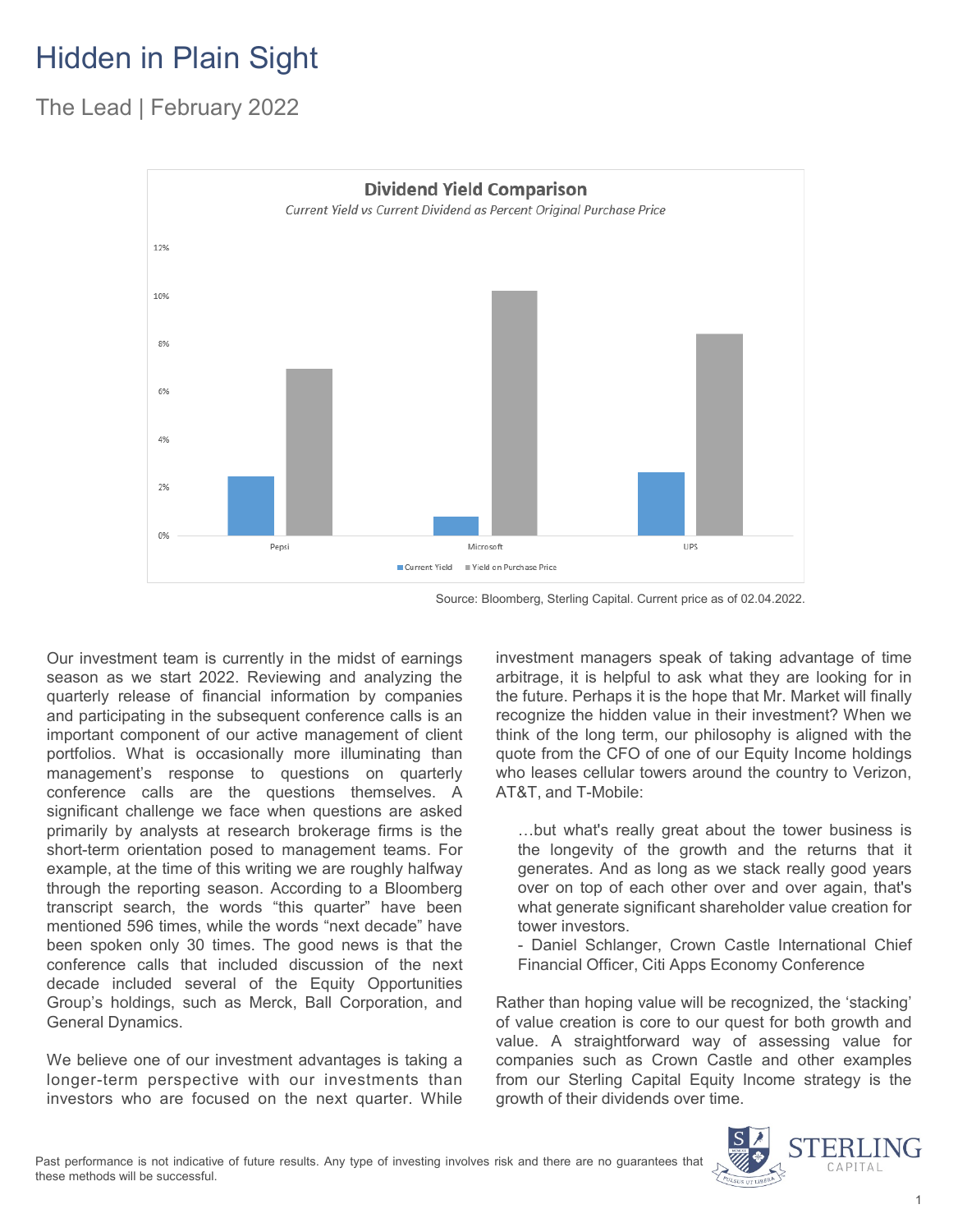## Hidden in Plain Sight

#### The Lead | February 2022



Source: Bloomberg, Sterling Capital. Current price as of 02.04.2022.

Our investment team is currently in the midst of earnings season as we start 2022. Reviewing and analyzing the quarterly release of financial information by companies and participating in the subsequent conference calls is an important component of our active management of client portfolios. What is occasionally more illuminating than management's response to questions on quarterly conference calls are the questions themselves. A significant challenge we face when questions are asked primarily by analysts at research brokerage firms is the short-term orientation posed to management teams. For example, at the time of this writing we are roughly halfway through the reporting season. According to a Bloomberg transcript search, the words "this quarter" have been mentioned 596 times, while the words "next decade" have been spoken only 30 times. The good news is that the conference calls that included discussion of the next decade included several of the Equity Opportunities Group's holdings, such as Merck, Ball Corporation, and General Dynamics.

We believe one of our investment advantages is taking a longer-term perspective with our investments than investors who are focused on the next quarter. While investment managers speak of taking advantage of time arbitrage, it is helpful to ask what they are looking for in the future. Perhaps it is the hope that Mr. Market will finally recognize the hidden value in their investment? When we think of the long term, our philosophy is aligned with the quote from the CFO of one of our Equity Income holdings who leases cellular towers around the country to Verizon, AT&T, and T-Mobile:

…but what's really great about the tower business is the longevity of the growth and the returns that it generates. And as long as we stack really good years over on top of each other over and over again, that's what generate significant shareholder value creation for tower investors.

- Daniel Schlanger, Crown Castle International Chief Financial Officer, Citi Apps Economy Conference

Rather than hoping value will be recognized, the 'stacking' of value creation is core to our quest for both growth and value. A straightforward way of assessing value for companies such as Crown Castle and other examples from our Sterling Capital Equity Income strategy is the growth of their dividends over time.

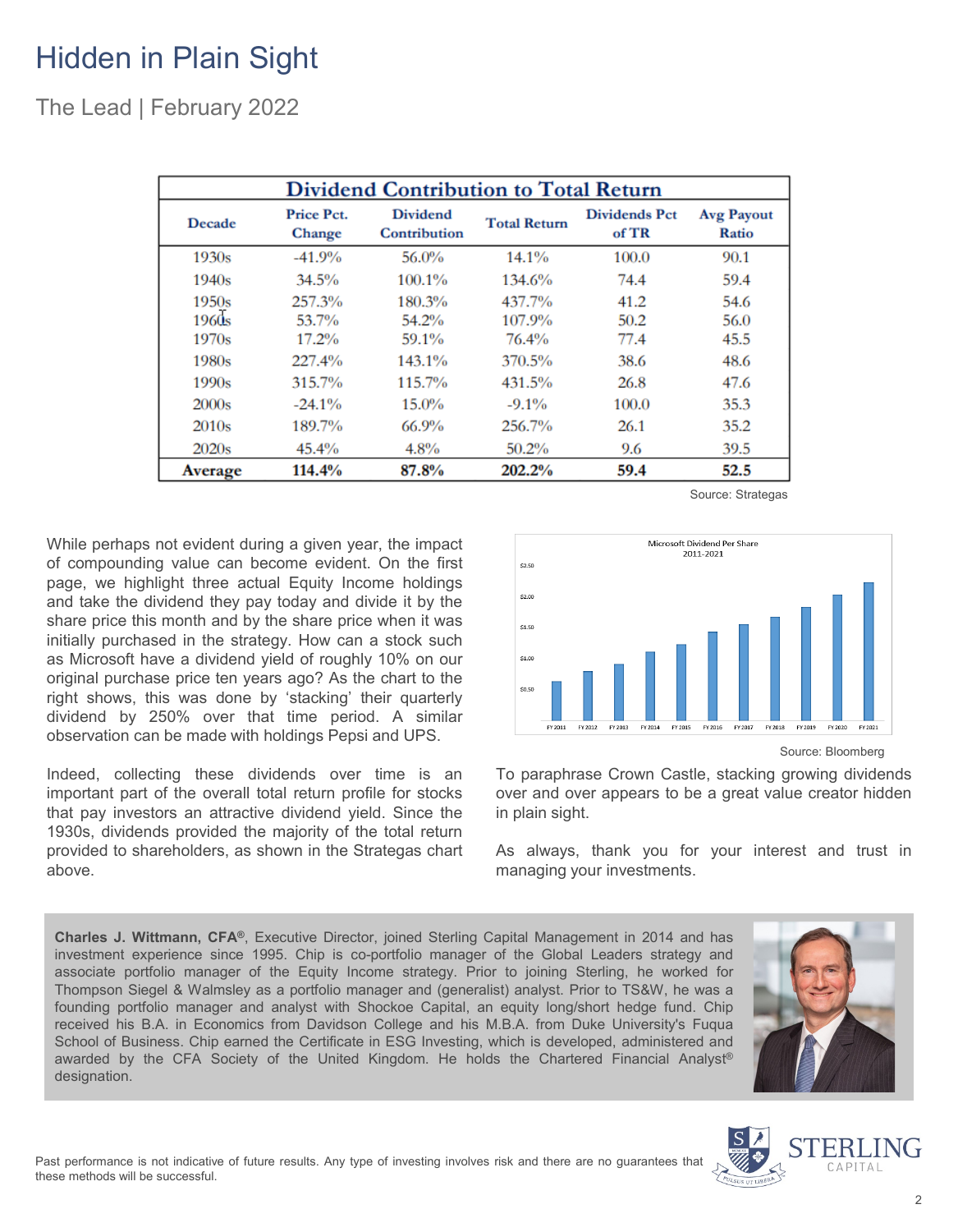### Hidden in Plain Sight

The Lead | February 2022

| <b>Dividend Contribution to Total Return</b> |                                    |                                 |                     |                               |                            |
|----------------------------------------------|------------------------------------|---------------------------------|---------------------|-------------------------------|----------------------------|
| Decade                                       | <b>Price Pct.</b><br><b>Change</b> | <b>Dividend</b><br>Contribution | <b>Total Return</b> | <b>Dividends Pct</b><br>of TR | <b>Avg Payout</b><br>Ratio |
| 1930s                                        | $-41.9%$                           | 56.0%                           | $14.1\%$            | 100.0                         | 90.1                       |
| 1940s                                        | 34.5%                              | 100.1%                          | 134.6%              | 74.4                          | 59.4                       |
| 1950s                                        | 257.3%                             | 180.3%                          | 437.7%              | 41.2                          | 54.6                       |
| 1960s                                        | 53.7%                              | 54.2%                           | 107.9%              | 50.2                          | 56.0                       |
| 1970s                                        | 17.2%                              | 59.1%                           | 76.4%               | 77.4                          | 45.5                       |
| 1980s                                        | 227.4%                             | 143.1%                          | 370.5%              | 38.6                          | 48.6                       |
| 1990s                                        | 315.7%                             | 115.7%                          | 431.5%              | 26.8                          | 47.6                       |
| 2000s                                        | $-24.1%$                           | $15.0\%$                        | $-9.1\%$            | 100.0                         | 35.3                       |
| 2010 <sub>s</sub>                            | 189.7%                             | $66.9\%$                        | 256.7%              | 26.1                          | 35.2                       |
| 2020s                                        | 45.4%                              | $4.8\%$                         | $50.2\%$            | 9.6                           | 39.5                       |
| Average                                      | 114.4%                             | 87.8%                           | 202.2%              | 59.4                          | 52.5                       |

While perhaps not evident during a given year, the impact of compounding value can become evident. On the first page, we highlight three actual Equity Income holdings and take the dividend they pay today and divide it by the share price this month and by the share price when it was initially purchased in the strategy. How can a stock such as Microsoft have a dividend yield of roughly 10% on our original purchase price ten years ago? As the chart to the right shows, this was done by 'stacking' their quarterly dividend by 250% over that time period. A similar observation can be made with holdings Pepsi and UPS.

Indeed, collecting these dividends over time is an important part of the overall total return profile for stocks that pay investors an attractive dividend yield. Since the 1930s, dividends provided the majority of the total return provided to shareholders, as shown in the Strategas chart above.



Source: Strategas

To paraphrase Crown Castle, stacking growing dividends over and over appears to be a great value creator hidden in plain sight.

As always, thank you for your interest and trust in managing your investments.

**Charles J. Wittmann, CFA®**, Executive Director, joined Sterling Capital Management in 2014 and has investment experience since 1995. Chip is co-portfolio manager of the Global Leaders strategy and associate portfolio manager of the Equity Income strategy. Prior to joining Sterling, he worked for Thompson Siegel & Walmsley as a portfolio manager and (generalist) analyst. Prior to TS&W, he was a founding portfolio manager and analyst with Shockoe Capital, an equity long/short hedge fund. Chip received his B.A. in Economics from Davidson College and his M.B.A. from Duke University's Fuqua School of Business. Chip earned the Certificate in ESG Investing, which is developed, administered and awarded by the CFA Society of the United Kingdom. He holds the Chartered Financial Analyst® designation.





Source: Bloomberg